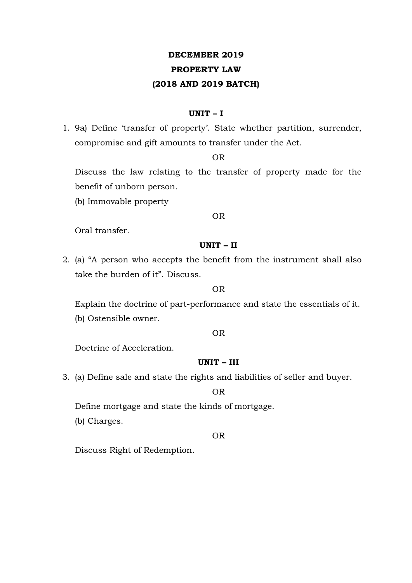# **DECEMBER 2019**

## **PROPERTY LAW**

## **(2018 AND 2019 BATCH)**

### **UNIT – I**

1. 9a) Define 'transfer of property'. State whether partition, surrender, compromise and gift amounts to transfer under the Act.

OR

Discuss the law relating to the transfer of property made for the benefit of unborn person.

(b) Immovable property

#### OR

Oral transfer.

## **UNIT – II**

2. (a) "A person who accepts the benefit from the instrument shall also take the burden of it". Discuss.

#### OR

Explain the doctrine of part-performance and state the essentials of it. (b) Ostensible owner.

#### OR

Doctrine of Acceleration.

## **UNIT – III**

3. (a) Define sale and state the rights and liabilities of seller and buyer.

OR

Define mortgage and state the kinds of mortgage.

(b) Charges.

OR

Discuss Right of Redemption.